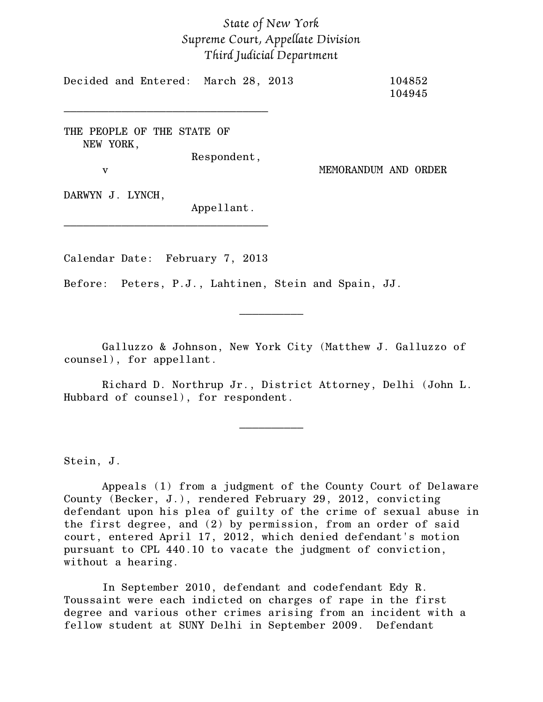## *State of New York Supreme Court, Appellate Division Third Judicial Department*

Decided and Entered: March 28, 2013 104852 104945

THE PEOPLE OF THE STATE OF NEW YORK,

\_\_\_\_\_\_\_\_\_\_\_\_\_\_\_\_\_\_\_\_\_\_\_\_\_\_\_\_\_\_\_\_

Respondent,

v MEMORANDUM AND ORDER

DARWYN J. LYNCH,

Appellant.

Calendar Date: February 7, 2013

\_\_\_\_\_\_\_\_\_\_\_\_\_\_\_\_\_\_\_\_\_\_\_\_\_\_\_\_\_\_\_\_

Before: Peters, P.J., Lahtinen, Stein and Spain, JJ.

Galluzzo & Johnson, New York City (Matthew J. Galluzzo of counsel), for appellant.

 $\frac{1}{2}$ 

Richard D. Northrup Jr., District Attorney, Delhi (John L. Hubbard of counsel), for respondent.

 $\frac{1}{2}$ 

Stein, J.

Appeals (1) from a judgment of the County Court of Delaware County (Becker, J.), rendered February 29, 2012, convicting defendant upon his plea of guilty of the crime of sexual abuse in the first degree, and (2) by permission, from an order of said court, entered April 17, 2012, which denied defendant's motion pursuant to CPL 440.10 to vacate the judgment of conviction, without a hearing.

In September 2010, defendant and codefendant Edy R. Toussaint were each indicted on charges of rape in the first degree and various other crimes arising from an incident with a fellow student at SUNY Delhi in September 2009. Defendant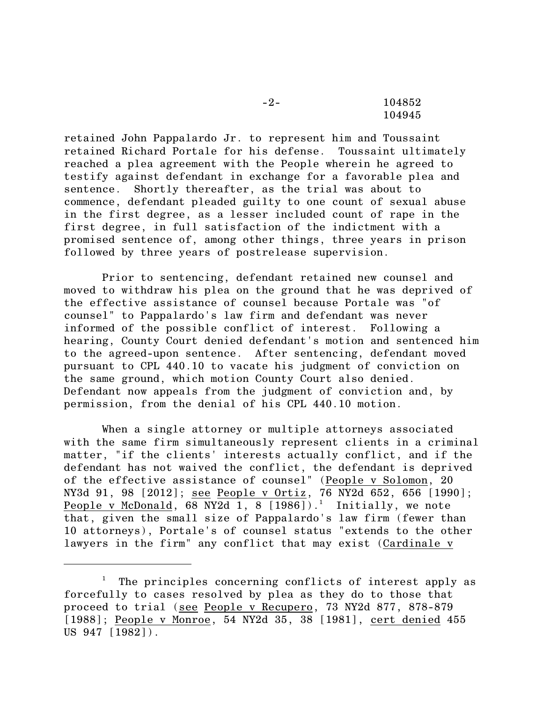-2- 104852 104945

retained John Pappalardo Jr. to represent him and Toussaint retained Richard Portale for his defense. Toussaint ultimately reached a plea agreement with the People wherein he agreed to testify against defendant in exchange for a favorable plea and sentence. Shortly thereafter, as the trial was about to commence, defendant pleaded guilty to one count of sexual abuse in the first degree, as a lesser included count of rape in the first degree, in full satisfaction of the indictment with a promised sentence of, among other things, three years in prison followed by three years of postrelease supervision.

Prior to sentencing, defendant retained new counsel and moved to withdraw his plea on the ground that he was deprived of the effective assistance of counsel because Portale was "of counsel" to Pappalardo's law firm and defendant was never informed of the possible conflict of interest. Following a hearing, County Court denied defendant's motion and sentenced him to the agreed-upon sentence. After sentencing, defendant moved pursuant to CPL 440.10 to vacate his judgment of conviction on the same ground, which motion County Court also denied. Defendant now appeals from the judgment of conviction and, by permission, from the denial of his CPL 440.10 motion.

When a single attorney or multiple attorneys associated with the same firm simultaneously represent clients in a criminal matter, "if the clients' interests actually conflict, and if the defendant has not waived the conflict, the defendant is deprived of the effective assistance of counsel" (People v Solomon, 20 NY3d 91, 98 [2012]; see People v Ortiz, 76 NY2d 652, 656 [1990]; People v McDonald, 68 NY2d 1, 8  $[1986]$ ).<sup>1</sup> Initially, we note that, given the small size of Pappalardo's law firm (fewer than 10 attorneys), Portale's of counsel status "extends to the other lawyers in the firm" any conflict that may exist (Cardinale v

The principles concerning conflicts of interest apply as forcefully to cases resolved by plea as they do to those that proceed to trial (see People v Recupero, 73 NY2d 877, 878-879 [1988]; People v Monroe, 54 NY2d 35, 38 [1981], cert denied 455 US 947 [1982]).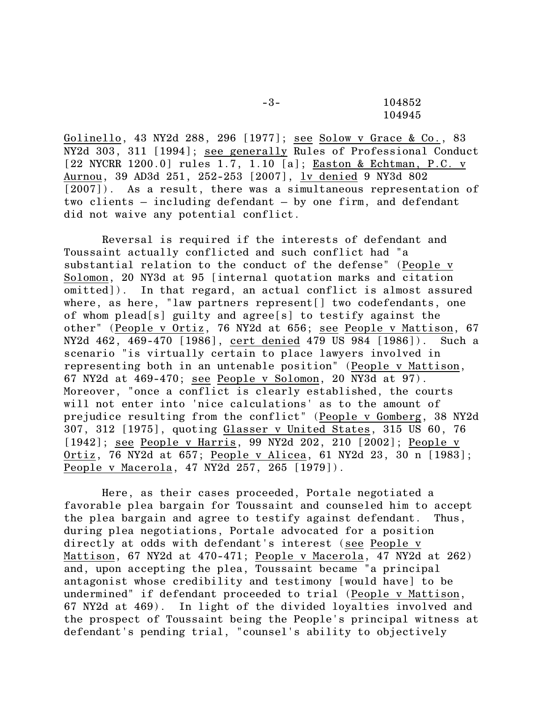-3- 104852 104945

Golinello, 43 NY2d 288, 296 [1977]; see Solow v Grace & Co., 83 NY2d 303, 311 [1994]; see generally Rules of Professional Conduct [22 NYCRR 1200.0] rules  $\overline{1.7, 1.10}$  [a]; Easton & Echtman, P.C. v Aurnou, 39 AD3d 251, 252-253 [2007], lv denied 9 NY3d 802 [2007]). As a result, there was a simultaneous representation of two clients – including defendant – by one firm, and defendant did not waive any potential conflict.

Reversal is required if the interests of defendant and Toussaint actually conflicted and such conflict had "a substantial relation to the conduct of the defense" (People v Solomon, 20 NY3d at 95 [internal quotation marks and citation omitted]). In that regard, an actual conflict is almost assured where, as here, "law partners represent[] two codefendants, one of whom plead[s] guilty and agree[s] to testify against the other" (People v Ortiz, 76 NY2d at 656; see People v Mattison, 67 NY2d 462, 469-470 [1986], cert denied 479 US 984 [1986]). Such a scenario "is virtually certain to place lawyers involved in representing both in an untenable position" (People v Mattison, 67 NY2d at 469-470; see People v Solomon, 20 NY3d at 97). Moreover, "once a conflict is clearly established, the courts will not enter into 'nice calculations' as to the amount of prejudice resulting from the conflict" (People v Gomberg, 38 NY2d 307, 312 [1975], quoting Glasser v United States, 315 US 60, 76 [1942]; see People v Harris, 99 NY2d 202, 210 [2002]; People v Ortiz, 76 NY2d at 657; People v Alicea, 61 NY2d 23, 30 n [1983]; People v Macerola, 47 NY2d 257, 265 [1979]).

Here, as their cases proceeded, Portale negotiated a favorable plea bargain for Toussaint and counseled him to accept the plea bargain and agree to testify against defendant. Thus, during plea negotiations, Portale advocated for a position directly at odds with defendant's interest (see People v Mattison, 67 NY2d at 470-471; People v Macerola, 47 NY2d at 262) and, upon accepting the plea, Toussaint became "a principal antagonist whose credibility and testimony [would have] to be undermined" if defendant proceeded to trial (People v Mattison, 67 NY2d at 469). In light of the divided loyalties involved and the prospect of Toussaint being the People's principal witness at defendant's pending trial, "counsel's ability to objectively